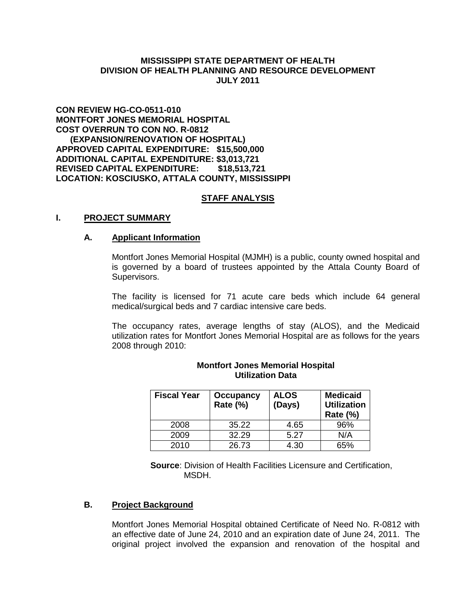## **MISSISSIPPI STATE DEPARTMENT OF HEALTH DIVISION OF HEALTH PLANNING AND RESOURCE DEVELOPMENT JULY 2011**

## **CON REVIEW HG-CO-0511-010 MONTFORT JONES MEMORIAL HOSPITAL COST OVERRUN TO CON NO. R-0812 (EXPANSION/RENOVATION OF HOSPITAL) APPROVED CAPITAL EXPENDITURE: \$15,500,000 ADDITIONAL CAPITAL EXPENDITURE: \$3,013,721 REVISED CAPITAL EXPENDITURE: \$18,513,721 LOCATION: KOSCIUSKO, ATTALA COUNTY, MISSISSIPPI**

### **STAFF ANALYSIS**

### **I. PROJECT SUMMARY**

### **A. Applicant Information**

Montfort Jones Memorial Hospital (MJMH) is a public, county owned hospital and is governed by a board of trustees appointed by the Attala County Board of Supervisors.

The facility is licensed for 71 acute care beds which include 64 general medical/surgical beds and 7 cardiac intensive care beds.

The occupancy rates, average lengths of stay (ALOS), and the Medicaid utilization rates for Montfort Jones Memorial Hospital are as follows for the years 2008 through 2010:

| <b>Fiscal Year</b> | <b>Occupancy</b><br>Rate (%) | <b>ALOS</b><br>(Days) | <b>Medicaid</b><br><b>Utilization</b><br><b>Rate (%)</b> |
|--------------------|------------------------------|-----------------------|----------------------------------------------------------|
| 2008               | 35.22                        | 4.65                  | 96%                                                      |
| 2009               | 32.29                        | 5.27                  | N/A                                                      |
| 2010               | 26.73                        | 4.30                  | 65%                                                      |

### **Montfort Jones Memorial Hospital Utilization Data**

**Source**: Division of Health Facilities Licensure and Certification, MSDH.

#### **B. Project Background**

Montfort Jones Memorial Hospital obtained Certificate of Need No. R-0812 with an effective date of June 24, 2010 and an expiration date of June 24, 2011. The original project involved the expansion and renovation of the hospital and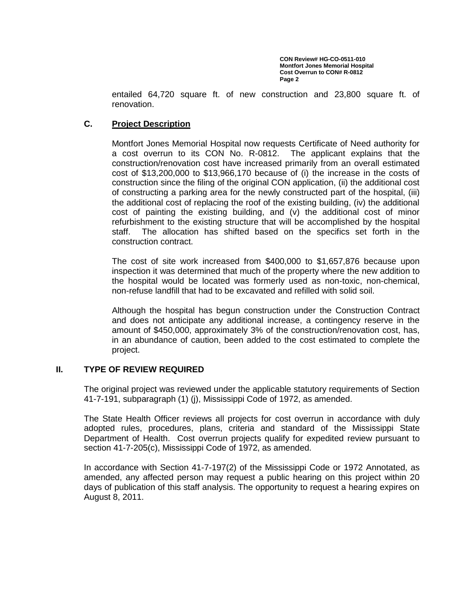entailed 64,720 square ft. of new construction and 23,800 square ft. of renovation.

# **C. Project Description**

Montfort Jones Memorial Hospital now requests Certificate of Need authority for a cost overrun to its CON No. R-0812. The applicant explains that the construction/renovation cost have increased primarily from an overall estimated cost of \$13,200,000 to \$13,966,170 because of (i) the increase in the costs of construction since the filing of the original CON application, (ii) the additional cost of constructing a parking area for the newly constructed part of the hospital, (iii) the additional cost of replacing the roof of the existing building, (iv) the additional cost of painting the existing building, and (v) the additional cost of minor refurbishment to the existing structure that will be accomplished by the hospital staff. The allocation has shifted based on the specifics set forth in the construction contract.

The cost of site work increased from \$400,000 to \$1,657,876 because upon inspection it was determined that much of the property where the new addition to the hospital would be located was formerly used as non-toxic, non-chemical, non-refuse landfill that had to be excavated and refilled with solid soil.

Although the hospital has begun construction under the Construction Contract and does not anticipate any additional increase, a contingency reserve in the amount of \$450,000, approximately 3% of the construction/renovation cost, has, in an abundance of caution, been added to the cost estimated to complete the project.

## **II. TYPE OF REVIEW REQUIRED**

The original project was reviewed under the applicable statutory requirements of Section 41-7-191, subparagraph (1) (j), Mississippi Code of 1972, as amended.

The State Health Officer reviews all projects for cost overrun in accordance with duly adopted rules, procedures, plans, criteria and standard of the Mississippi State Department of Health. Cost overrun projects qualify for expedited review pursuant to section 41-7-205(c), Mississippi Code of 1972, as amended.

In accordance with Section 41-7-197(2) of the Mississippi Code or 1972 Annotated, as amended, any affected person may request a public hearing on this project within 20 days of publication of this staff analysis. The opportunity to request a hearing expires on August 8, 2011.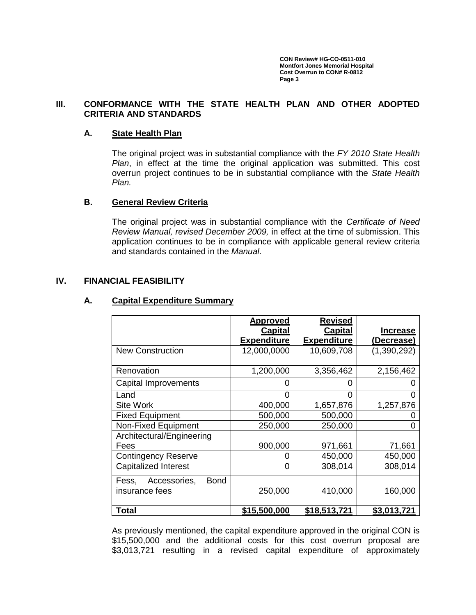## **III. CONFORMANCE WITH THE STATE HEALTH PLAN AND OTHER ADOPTED CRITERIA AND STANDARDS**

### **A. State Health Plan**

The original project was in substantial compliance with the *FY 2010 State Health Plan*, in effect at the time the original application was submitted. This cost overrun project continues to be in substantial compliance with the *State Health Plan.*

## **B. General Review Criteria**

The original project was in substantial compliance with the *Certificate of Need Review Manual, revised December 2009,* in effect at the time of submission. This application continues to be in compliance with applicable general review criteria and standards contained in the *Manual*.

### **IV. FINANCIAL FEASIBILITY**

### **A. Capital Expenditure Summary**

|                                      | <b>Approved</b>     | <b>Revised</b>     |                    |
|--------------------------------------|---------------------|--------------------|--------------------|
|                                      | <b>Capital</b>      | <b>Capital</b>     | <b>Increase</b>    |
|                                      | <b>Expenditure</b>  | <b>Expenditure</b> | (Decrease)         |
| <b>New Construction</b>              | 12,000,0000         | 10,609,708         | (1,390,292)        |
|                                      |                     |                    |                    |
| Renovation                           | 1,200,000           | 3,356,462          | 2,156,462          |
| <b>Capital Improvements</b>          | 0                   | 0                  |                    |
| Land                                 | 0                   | 0                  |                    |
| <b>Site Work</b>                     | 400,000             | 1,657,876          | 1,257,876          |
| <b>Fixed Equipment</b>               | 500,000             | 500,000            |                    |
| Non-Fixed Equipment                  | 250,000             | 250,000            |                    |
| Architectural/Engineering            |                     |                    |                    |
| Fees                                 | 900,000             | 971,661            | 71,661             |
| <b>Contingency Reserve</b>           | 0                   | 450,000            | 450,000            |
| <b>Capitalized Interest</b>          | 0                   | 308,014            | 308,014            |
| Accessories,<br><b>Bond</b><br>Fess, |                     |                    |                    |
| insurance fees                       | 250,000             | 410,000            | 160,000            |
|                                      |                     |                    |                    |
| Total                                | <u>\$15,500,000</u> | \$18,513,721       | <u>\$3,013,721</u> |

As previously mentioned, the capital expenditure approved in the original CON is \$15,500,000 and the additional costs for this cost overrun proposal are \$3,013,721 resulting in a revised capital expenditure of approximately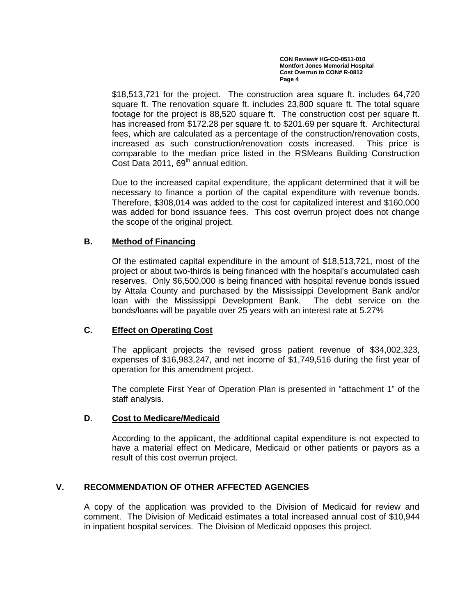\$18,513,721 for the project. The construction area square ft. includes 64,720 square ft. The renovation square ft. includes 23,800 square ft. The total square footage for the project is 88,520 square ft. The construction cost per square ft. has increased from \$172.28 per square ft. to \$201.69 per square ft. Architectural fees, which are calculated as a percentage of the construction/renovation costs, increased as such construction/renovation costs increased. This price is comparable to the median price listed in the RSMeans Building Construction Cost Data 2011, 69<sup>th</sup> annual edition.

Due to the increased capital expenditure, the applicant determined that it will be necessary to finance a portion of the capital expenditure with revenue bonds. Therefore, \$308,014 was added to the cost for capitalized interest and \$160,000 was added for bond issuance fees. This cost overrun project does not change the scope of the original project.

# **B. Method of Financing**

Of the estimated capital expenditure in the amount of \$18,513,721, most of the project or about two-thirds is being financed with the hospital's accumulated cash reserves. Only \$6,500,000 is being financed with hospital revenue bonds issued by Attala County and purchased by the Mississippi Development Bank and/or loan with the Mississippi Development Bank. The debt service on the bonds/loans will be payable over 25 years with an interest rate at 5.27%

## **C. Effect on Operating Cost**

The applicant projects the revised gross patient revenue of \$34,002,323, expenses of \$16,983,247, and net income of \$1,749,516 during the first year of operation for this amendment project.

The complete First Year of Operation Plan is presented in "attachment 1" of the staff analysis.

## **D**. **Cost to Medicare/Medicaid**

According to the applicant, the additional capital expenditure is not expected to have a material effect on Medicare, Medicaid or other patients or payors as a result of this cost overrun project.

# **V. RECOMMENDATION OF OTHER AFFECTED AGENCIES**

A copy of the application was provided to the Division of Medicaid for review and comment. The Division of Medicaid estimates a total increased annual cost of \$10,944 in inpatient hospital services. The Division of Medicaid opposes this project.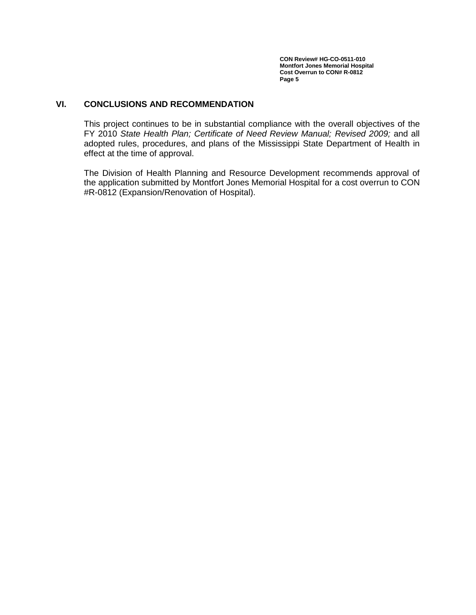# **VI. CONCLUSIONS AND RECOMMENDATION**

This project continues to be in substantial compliance with the overall objectives of the FY 2010 *State Health Plan; Certificate of Need Review Manual; Revised 2009;* and all adopted rules, procedures, and plans of the Mississippi State Department of Health in effect at the time of approval.

The Division of Health Planning and Resource Development recommends approval of the application submitted by Montfort Jones Memorial Hospital for a cost overrun to CON #R-0812 (Expansion/Renovation of Hospital).